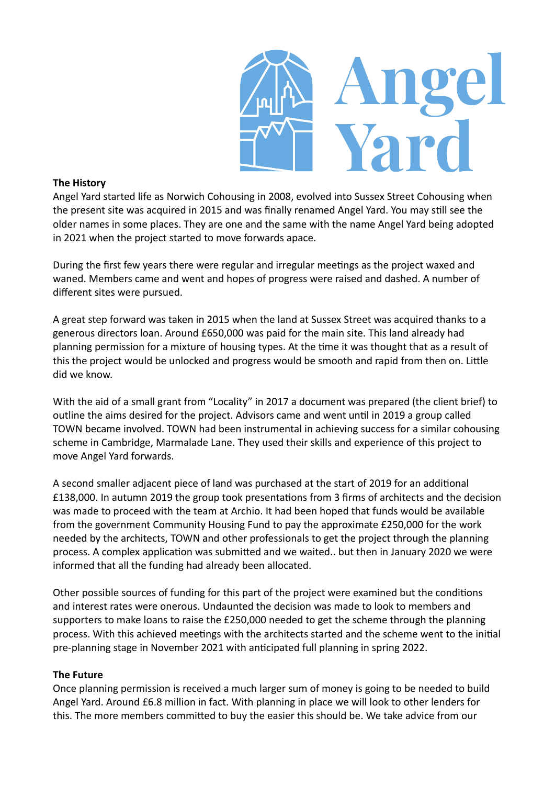

# **The History**

Angel Yard started life as Norwich Cohousing in 2008, evolved into Sussex Street Cohousing when the present site was acquired in 2015 and was finally renamed Angel Yard. You may still see the older names in some places. They are one and the same with the name Angel Yard being adopted in 2021 when the project started to move forwards apace.

During the first few years there were regular and irregular meetings as the project waxed and waned. Members came and went and hopes of progress were raised and dashed. A number of different sites were pursued.

A great step forward was taken in 2015 when the land at Sussex Street was acquired thanks to a generous directors loan. Around £650,000 was paid for the main site. This land already had planning permission for a mixture of housing types. At the time it was thought that as a result of this the project would be unlocked and progress would be smooth and rapid from then on. Little did we know.

With the aid of a small grant from "Locality" in 2017 a document was prepared (the client brief) to outline the aims desired for the project. Advisors came and went until in 2019 a group called TOWN became involved. TOWN had been instrumental in achieving success for a similar cohousing scheme in Cambridge, Marmalade Lane. They used their skills and experience of this project to move Angel Yard forwards.

A second smaller adjacent piece of land was purchased at the start of 2019 for an additional £138,000. In autumn 2019 the group took presentations from 3 firms of architects and the decision was made to proceed with the team at Archio. It had been hoped that funds would be available from the government Community Housing Fund to pay the approximate £250,000 for the work needed by the architects, TOWN and other professionals to get the project through the planning process. A complex application was submitted and we waited.. but then in January 2020 we were informed that all the funding had already been allocated.

Other possible sources of funding for this part of the project were examined but the conditions and interest rates were onerous. Undaunted the decision was made to look to members and supporters to make loans to raise the £250,000 needed to get the scheme through the planning process. With this achieved meetings with the architects started and the scheme went to the initial pre-planning stage in November 2021 with anticipated full planning in spring 2022.

## **The Future**

Once planning permission is received a much larger sum of money is going to be needed to build Angel Yard. Around £6.8 million in fact. With planning in place we will look to other lenders for this. The more members committed to buy the easier this should be. We take advice from our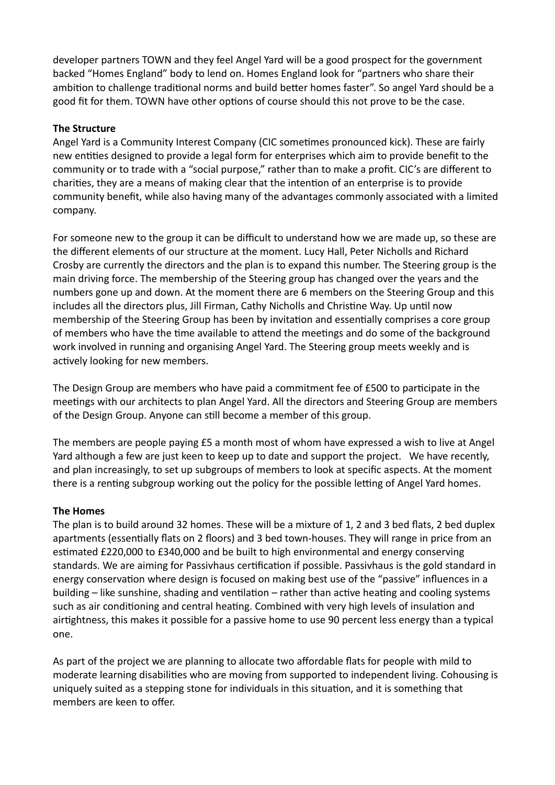developer partners TOWN and they feel Angel Yard will be a good prospect for the government backed "Homes England" body to lend on. Homes England look for "partners who share their ambition to challenge traditional norms and build better homes faster". So angel Yard should be a good fit for them. TOWN have other options of course should this not prove to be the case.

# **The Structure**

Angel Yard is a Community Interest Company (CIC sometimes pronounced kick). These are fairly new entities designed to provide a legal form for enterprises which aim to provide benefit to the community or to trade with a "social purpose," rather than to make a profit. CIC's are different to charities, they are a means of making clear that the intention of an enterprise is to provide community benefit, while also having many of the advantages commonly associated with a limited company.

For someone new to the group it can be difficult to understand how we are made up, so these are the different elements of our structure at the moment. Lucy Hall, Peter Nicholls and Richard Crosby are currently the directors and the plan is to expand this number. The Steering group is the main driving force. The membership of the Steering group has changed over the years and the numbers gone up and down. At the moment there are 6 members on the Steering Group and this includes all the directors plus, Jill Firman, Cathy Nicholls and Christine Way. Up until now membership of the Steering Group has been by invitation and essentially comprises a core group of members who have the time available to attend the meetings and do some of the background work involved in running and organising Angel Yard. The Steering group meets weekly and is actively looking for new members.

The Design Group are members who have paid a commitment fee of £500 to participate in the meetings with our architects to plan Angel Yard. All the directors and Steering Group are members of the Design Group. Anyone can still become a member of this group.

The members are people paying £5 a month most of whom have expressed a wish to live at Angel Yard although a few are just keen to keep up to date and support the project. We have recently, and plan increasingly, to set up subgroups of members to look at specific aspects. At the moment there is a renting subgroup working out the policy for the possible letting of Angel Yard homes.

## **The Homes**

The plan is to build around 32 homes. These will be a mixture of 1, 2 and 3 bed flats, 2 bed duplex apartments (essentially flats on 2 floors) and 3 bed town-houses. They will range in price from an estimated £220,000 to £340,000 and be built to high environmental and energy conserving standards. We are aiming for Passivhaus certification if possible. Passivhaus is the gold standard in energy conservation where design is focused on making best use of the "passive" influences in a building – like sunshine, shading and ventilation – rather than active heating and cooling systems such as air conditioning and central heating. Combined with very high levels of insulation and airtightness, this makes it possible for a passive home to use 90 percent less energy than a typical one.

As part of the project we are planning to allocate two affordable flats for people with mild to moderate learning disabilities who are moving from supported to independent living. Cohousing is uniquely suited as a stepping stone for individuals in this situation, and it is something that members are keen to offer.